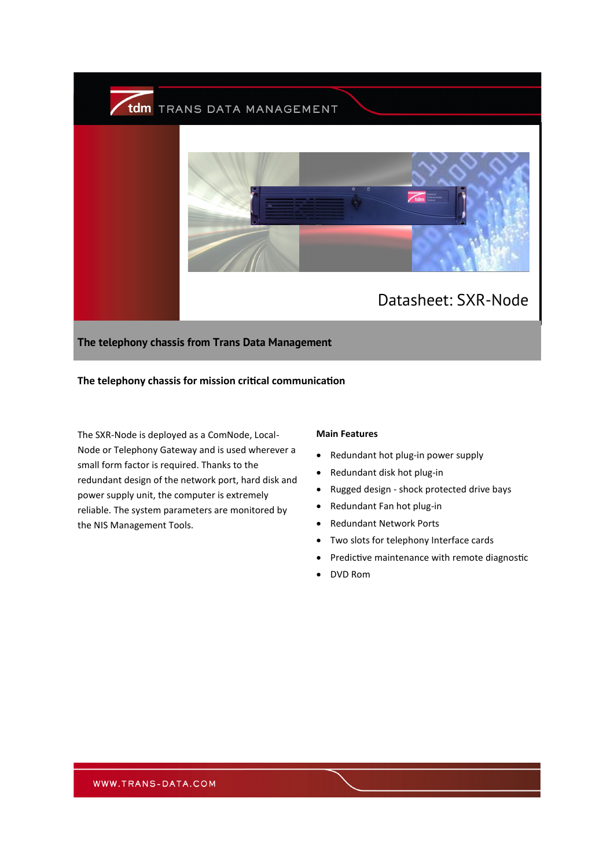

**The telephony chassis from Trans Data Management**

## **The telephony chassis for mission critical communication**

The SXR-Node is deployed as a ComNode, Local-Node or Telephony Gateway and is used wherever a small form factor is required. Thanks to the redundant design of the network port, hard disk and power supply unit, the computer is extremely reliable. The system parameters are monitored by the NIS Management Tools.

## **Main Features**

- Redundant hot plug-in power supply
- Redundant disk hot plug-in
- Rugged design shock protected drive bays
- Redundant Fan hot plug-in
- Redundant Network Ports
- Two slots for telephony Interface cards
- Predictive maintenance with remote diagnostic
- DVD Rom